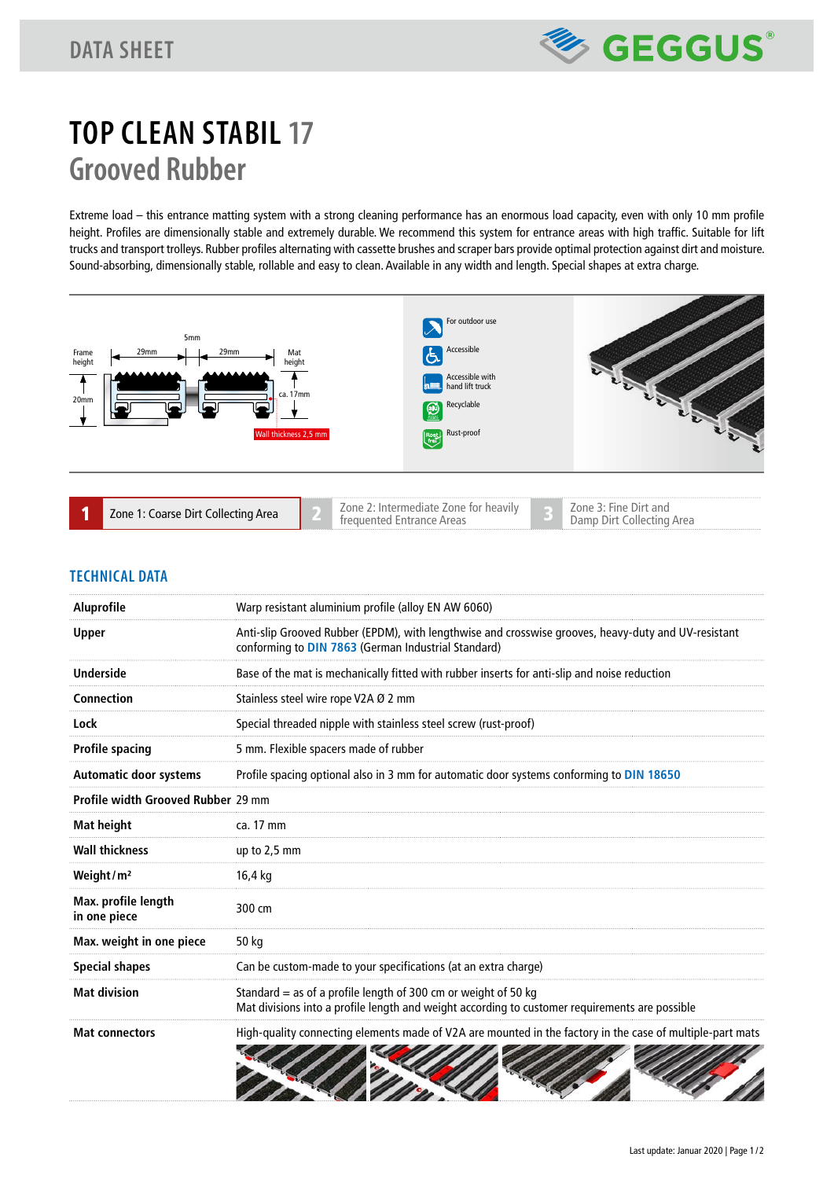

# **TOP CLEAN STABIL 17 Grooved Rubber**

Extreme load – this entrance matting system with a strong cleaning performance has an enormous load capacity, even with only 10 mm profile height. Profiles are dimensionally stable and extremely durable. We recommend this system for entrance areas with high traffic. Suitable for lift trucks and transport trolleys. Rubber profiles alternating with cassette brushes and scraper bars provide optimal protection against dirt and moisture. Sound-absorbing, dimensionally stable, rollable and easy to clean. Available in any width and length. Special shapes at extra charge.



|  | Zone 1: Coarse Dirt Collecting Area |  | Zone 2: Intermediate Zone for heavily<br>trequented Entrance Areas |  | Zone 3: Fine Dirt and<br>Damp Dirt Collecting Area |
|--|-------------------------------------|--|--------------------------------------------------------------------|--|----------------------------------------------------|
|--|-------------------------------------|--|--------------------------------------------------------------------|--|----------------------------------------------------|

### **TECHNICAL DATA**

| Aluprofile                          | Warp resistant aluminium profile (alloy EN AW 6060)                                                                                                                |
|-------------------------------------|--------------------------------------------------------------------------------------------------------------------------------------------------------------------|
| <b>Upper</b>                        | Anti-slip Grooved Rubber (EPDM), with lengthwise and crosswise grooves, heavy-duty and UV-resistant<br>conforming to DIN 7863 (German Industrial Standard)         |
| <b>Underside</b>                    | Base of the mat is mechanically fitted with rubber inserts for anti-slip and noise reduction                                                                       |
| Connection                          | Stainless steel wire rope V2A Ø 2 mm                                                                                                                               |
| Lock                                | Special threaded nipple with stainless steel screw (rust-proof)                                                                                                    |
| <b>Profile spacing</b>              | 5 mm. Flexible spacers made of rubber                                                                                                                              |
| <b>Automatic door systems</b>       | Profile spacing optional also in 3 mm for automatic door systems conforming to DIN 18650                                                                           |
| Profile width Grooved Rubber 29 mm  |                                                                                                                                                                    |
| <b>Mat height</b>                   | ca. 17 mm                                                                                                                                                          |
| <b>Wall thickness</b>               | up to $2,5$ mm                                                                                                                                                     |
| Weight/ $m2$                        | 16,4 kg                                                                                                                                                            |
| Max. profile length<br>in one piece | 300 cm                                                                                                                                                             |
| Max. weight in one piece            | 50 kg                                                                                                                                                              |
| <b>Special shapes</b>               | Can be custom-made to your specifications (at an extra charge)                                                                                                     |
| <b>Mat division</b>                 | Standard $=$ as of a profile length of 300 cm or weight of 50 kg<br>Mat divisions into a profile length and weight according to customer requirements are possible |
| <b>Mat connectors</b>               | High-quality connecting elements made of V2A are mounted in the factory in the case of multiple-part mats                                                          |